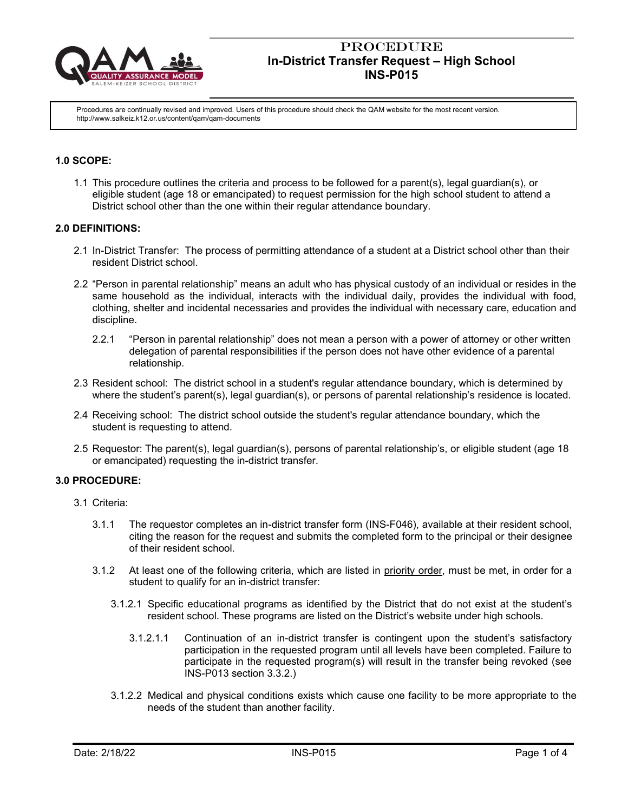

Procedures are continually revised and improved. Users of this procedure should check the QAM website for the most recent version. http://www.salkeiz.k12.or.us/content/qam/qam-documents

## **1.0 SCOPE:**

1.1 This procedure outlines the criteria and process to be followed for a parent(s), legal guardian(s), or eligible student (age 18 or emancipated) to request permission for the high school student to attend a District school other than the one within their regular attendance boundary.

#### **2.0 DEFINITIONS:**

- 2.1 In-District Transfer: The process of permitting attendance of a student at a District school other than their resident District school.
- 2.2 "Person in parental relationship" means an adult who has physical custody of an individual or resides in the same household as the individual, interacts with the individual daily, provides the individual with food, clothing, shelter and incidental necessaries and provides the individual with necessary care, education and discipline.
	- 2.2.1 "Person in parental relationship" does not mean a person with a power of attorney or other written delegation of parental responsibilities if the person does not have other evidence of a parental relationship.
- 2.3 Resident school: The district school in a student's regular attendance boundary, which is determined by where the student's parent(s), legal guardian(s), or persons of parental relationship's residence is located.
- 2.4 Receiving school: The district school outside the student's regular attendance boundary, which the student is requesting to attend.
- 2.5 Requestor: The parent(s), legal guardian(s), persons of parental relationship's, or eligible student (age 18 or emancipated) requesting the in-district transfer.

#### **3.0 PROCEDURE:**

- 3.1 Criteria:
	- 3.1.1 The requestor completes an in-district transfer form (INS-F046), available at their resident school, citing the reason for the request and submits the completed form to the principal or their designee of their resident school.
	- 3.1.2 At least one of the following criteria, which are listed in priority order, must be met, in order for a student to qualify for an in-district transfer:
		- 3.1.2.1 Specific educational programs as identified by the District that do not exist at the student's resident school. These programs are listed on the District's website under high schools.
			- 3.1.2.1.1 Continuation of an in-district transfer is contingent upon the student's satisfactory participation in the requested program until all levels have been completed. Failure to participate in the requested program(s) will result in the transfer being revoked (see INS-P013 section 3.3.2.)
		- 3.1.2.2 Medical and physical conditions exists which cause one facility to be more appropriate to the needs of the student than another facility.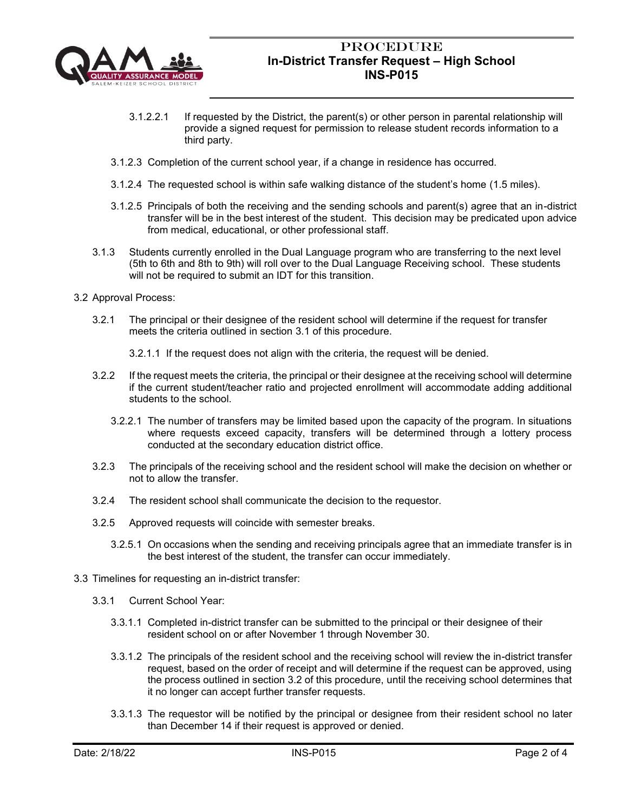

- 3.1.2.2.1 If requested by the District, the parent(s) or other person in parental relationship will provide a signed request for permission to release student records information to a third party.
- 3.1.2.3 Completion of the current school year, if a change in residence has occurred.
- 3.1.2.4 The requested school is within safe walking distance of the student's home (1.5 miles).
- 3.1.2.5 Principals of both the receiving and the sending schools and parent(s) agree that an in-district transfer will be in the best interest of the student. This decision may be predicated upon advice from medical, educational, or other professional staff.
- 3.1.3 Students currently enrolled in the Dual Language program who are transferring to the next level (5th to 6th and 8th to 9th) will roll over to the Dual Language Receiving school. These students will not be required to submit an IDT for this transition.
- 3.2 Approval Process:
	- 3.2.1 The principal or their designee of the resident school will determine if the request for transfer meets the criteria outlined in section 3.1 of this procedure.
		- 3.2.1.1 If the request does not align with the criteria, the request will be denied.
	- 3.2.2 If the request meets the criteria, the principal or their designee at the receiving school will determine if the current student/teacher ratio and projected enrollment will accommodate adding additional students to the school.
		- 3.2.2.1 The number of transfers may be limited based upon the capacity of the program. In situations where requests exceed capacity, transfers will be determined through a lottery process conducted at the secondary education district office.
	- 3.2.3 The principals of the receiving school and the resident school will make the decision on whether or not to allow the transfer.
	- 3.2.4 The resident school shall communicate the decision to the requestor.
	- 3.2.5 Approved requests will coincide with semester breaks.
		- 3.2.5.1 On occasions when the sending and receiving principals agree that an immediate transfer is in the best interest of the student, the transfer can occur immediately.
- 3.3 Timelines for requesting an in-district transfer:
	- 3.3.1 Current School Year:
		- 3.3.1.1 Completed in-district transfer can be submitted to the principal or their designee of their resident school on or after November 1 through November 30.
		- 3.3.1.2 The principals of the resident school and the receiving school will review the in-district transfer request, based on the order of receipt and will determine if the request can be approved, using the process outlined in section 3.2 of this procedure, until the receiving school determines that it no longer can accept further transfer requests.
		- 3.3.1.3 The requestor will be notified by the principal or designee from their resident school no later than December 14 if their request is approved or denied.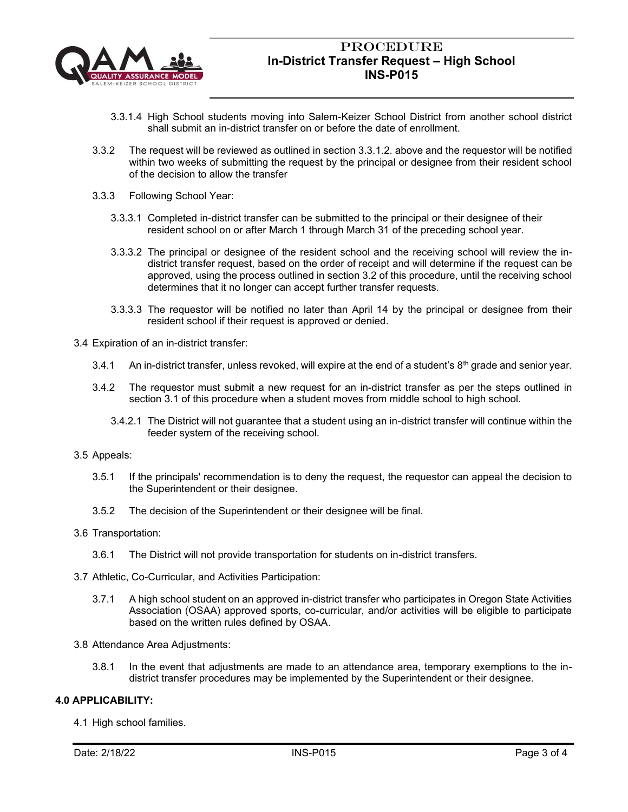

- 3.3.1.4 High School students moving into Salem-Keizer School District from another school district shall submit an in-district transfer on or before the date of enrollment.
- 3.3.2 The request will be reviewed as outlined in section 3.3.1.2. above and the requestor will be notified within two weeks of submitting the request by the principal or designee from their resident school of the decision to allow the transfer
- 3.3.3 Following School Year:
	- 3.3.3.1 Completed in-district transfer can be submitted to the principal or their designee of their resident school on or after March 1 through March 31 of the preceding school year.
	- 3.3.3.2 The principal or designee of the resident school and the receiving school will review the indistrict transfer request, based on the order of receipt and will determine if the request can be approved, using the process outlined in section 3.2 of this procedure, until the receiving school determines that it no longer can accept further transfer requests.
	- 3.3.3.3 The requestor will be notified no later than April 14 by the principal or designee from their resident school if their request is approved or denied.
- 3.4 Expiration of an in-district transfer:
	- 3.4.1 An in-district transfer, unless revoked, will expire at the end of a student's  $8<sup>th</sup>$  grade and senior year.
	- 3.4.2 The requestor must submit a new request for an in-district transfer as per the steps outlined in section 3.1 of this procedure when a student moves from middle school to high school.
		- 3.4.2.1 The District will not guarantee that a student using an in-district transfer will continue within the feeder system of the receiving school.
- 3.5 Appeals:
	- 3.5.1 If the principals' recommendation is to deny the request, the requestor can appeal the decision to the Superintendent or their designee.
	- 3.5.2 The decision of the Superintendent or their designee will be final.
- 3.6 Transportation:
	- 3.6.1 The District will not provide transportation for students on in-district transfers.
- 3.7 Athletic, Co-Curricular, and Activities Participation:
	- 3.7.1 A high school student on an approved in-district transfer who participates in Oregon State Activities Association (OSAA) approved sports, co-curricular, and/or activities will be eligible to participate based on the written rules defined by OSAA.
- 3.8 Attendance Area Adjustments:
	- 3.8.1 In the event that adjustments are made to an attendance area, temporary exemptions to the indistrict transfer procedures may be implemented by the Superintendent or their designee.

#### **4.0 APPLICABILITY:**

4.1 High school families.